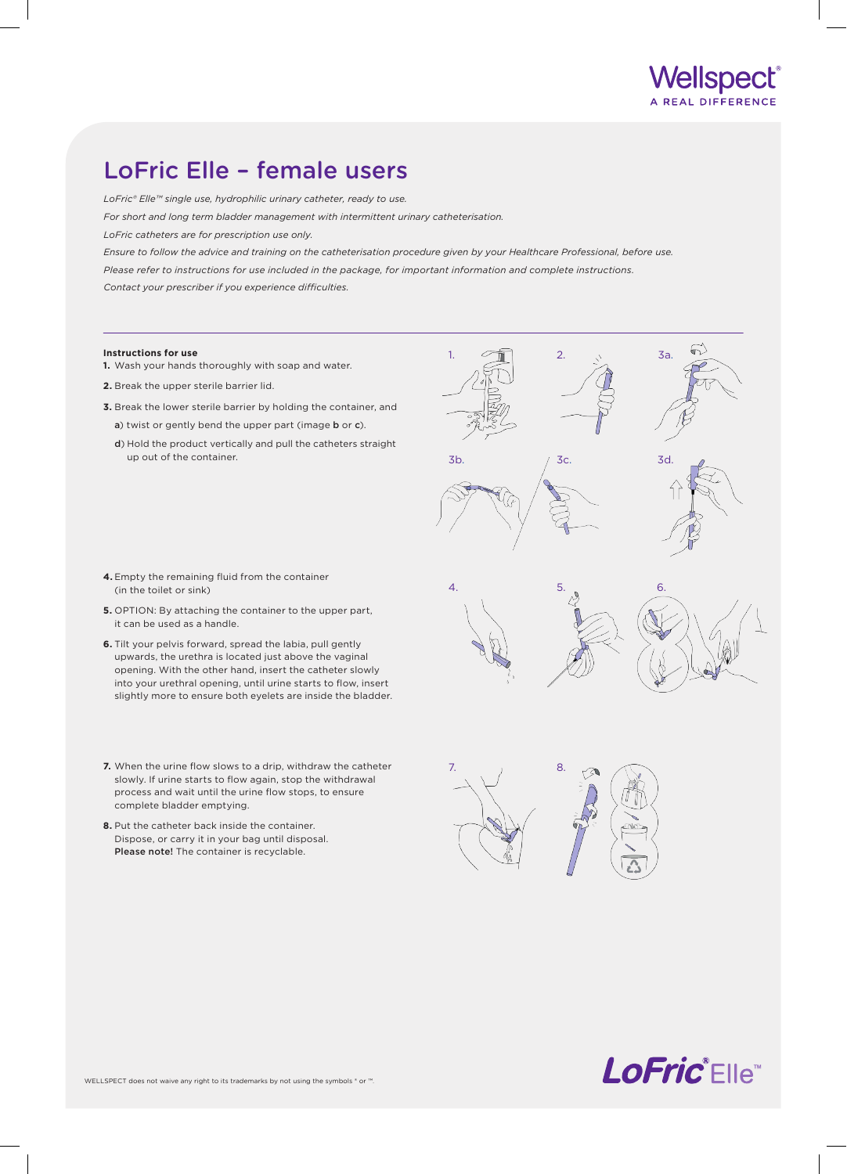

## LoFric Elle – female users

*LoFric® Elle™ single use, hydrophilic urinary catheter, ready to use.*

*For short and long term bladder management with intermittent urinary catheterisation.*

*LoFric catheters are for prescription use only.*

*Ensure to follow the advice and training on the catheterisation procedure given by your Healthcare Professional, before use. Please refer to instructions for use included in the package, for important information and complete instructions. Contact your prescriber if you experience difficulties.*

- **Instructions for use**
- **1.** Wash your hands thoroughly with soap and water.
- **2.** Break the upper sterile barrier lid.
- **3.** Break the lower sterile barrier by holding the container, and
	- a) twist or gently bend the upper part (image b or c).
	- d) Hold the product vertically and pull the catheters straight up out of the container.



- **4.** Empty the remaining fluid from the container (in the toilet or sink)
- **5.** OPTION: By attaching the container to the upper part, it can be used as a handle.
- **6.** Tilt your pelvis forward, spread the labia, pull gently upwards, the urethra is located just above the vaginal opening. With the other hand, insert the catheter slowly into your urethral opening, until urine starts to flow, insert slightly more to ensure both eyelets are inside the bladder.
- **7.** When the urine flow slows to a drip, withdraw the catheter slowly. If urine starts to flow again, stop the withdrawal process and wait until the urine flow stops, to ensure complete bladder emptying.
- **8.** Put the catheter back inside the container. Dispose, or carry it in your bag until disposal. Please note! The container is recyclable.